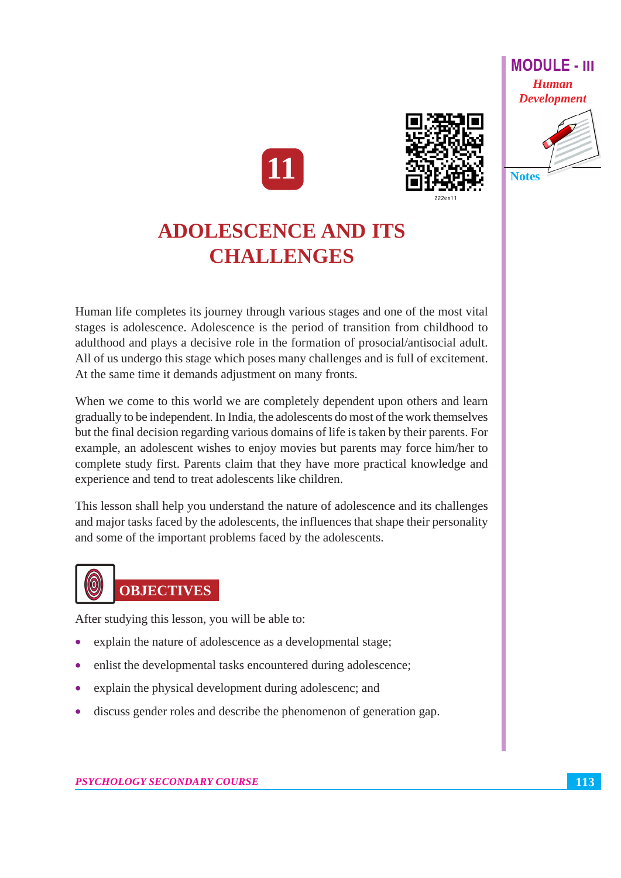





# **ADOLESCENCE AND ITS CHALLENGES**

Human life completes its journey through various stages and one of the most vital stages is adolescence. Adolescence is the period of transition from childhood to adulthood and plays a decisive role in the formation of prosocial/antisocial adult. All of us undergo this stage which poses many challenges and is full of excitement. At the same time it demands adjustment on many fronts.

When we come to this world we are completely dependent upon others and learn gradually to be independent. In India, the adolescents do most of the work themselves but the final decision regarding various domains of life is taken by their parents. For example, an adolescent wishes to enjoy movies but parents may force him/her to complete study first. Parents claim that they have more practical knowledge and experience and tend to treat adolescents like children.

This lesson shall help you understand the nature of adolescence and its challenges and major tasks faced by the adolescents, the influences that shape their personality and some of the important problems faced by the adolescents.



After studying this lesson, you will be able to:

- explain the nature of adolescence as a developmental stage;
- enlist the developmental tasks encountered during adolescence;
- explain the physical development during adolescenc; and
- discuss gender roles and describe the phenomenon of generation gap.  $\bullet$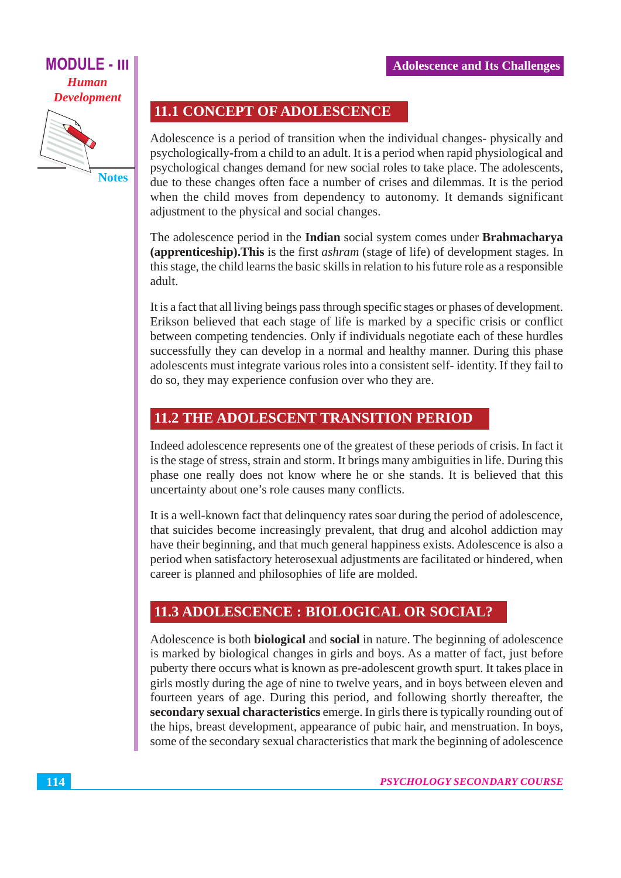# **MODULE - III Human Development**



**11.1 CONCEPT OF ADOLESCENCE** 

Adolescence is a period of transition when the individual changes- physically and psychologically-from a child to an adult. It is a period when rapid physiological and psychological changes demand for new social roles to take place. The adolescents, due to these changes often face a number of crises and dilemmas. It is the period when the child moves from dependency to autonomy. It demands significant adjustment to the physical and social changes.

The adolescence period in the Indian social system comes under Brahmacharya (apprenticeship). This is the first *ashram* (stage of life) of development stages. In this stage, the child learns the basic skills in relation to his future role as a responsible adult.

It is a fact that all living beings pass through specific stages or phases of development. Erikson believed that each stage of life is marked by a specific crisis or conflict between competing tendencies. Only if individuals negotiate each of these hurdles successfully they can develop in a normal and healthy manner. During this phase adolescents must integrate various roles into a consistent self-identity. If they fail to do so, they may experience confusion over who they are.

# **11.2 THE ADOLESCENT TRANSITION PERIOD**

Indeed adolescence represents one of the greatest of these periods of crisis. In fact it is the stage of stress, strain and storm. It brings many ambiguities in life. During this phase one really does not know where he or she stands. It is believed that this uncertainty about one's role causes many conflicts.

It is a well-known fact that delinquency rates soar during the period of adolescence, that suicides become increasingly prevalent, that drug and alcohol addiction may have their beginning, and that much general happiness exists. Adolescence is also a period when satisfactory heterosexual adjustments are facilitated or hindered, when career is planned and philosophies of life are molded.

# **11.3 ADOLESCENCE : BIOLOGICAL OR SOCIAL?**

Adolescence is both **biological** and **social** in nature. The beginning of adolescence is marked by biological changes in girls and boys. As a matter of fact, just before puberty there occurs what is known as pre-adolescent growth spurt. It takes place in girls mostly during the age of nine to twelve years, and in boys between eleven and fourteen years of age. During this period, and following shortly thereafter, the secondary sexual characteristics emerge. In girls there is typically rounding out of the hips, breast development, appearance of pubic hair, and menstruation. In boys, some of the secondary sexual characteristics that mark the beginning of adolescence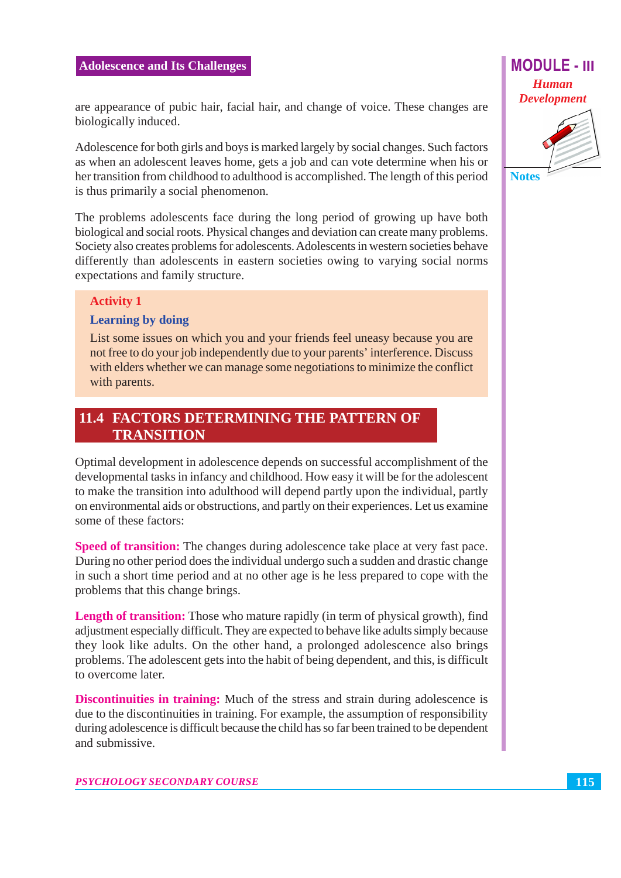are appearance of pubic hair, facial hair, and change of voice. These changes are biologically induced.

Adolescence for both girls and boys is marked largely by social changes. Such factors as when an adolescent leaves home, gets a job and can vote determine when his or her transition from childhood to adulthood is accomplished. The length of this period is thus primarily a social phenomenon.

The problems adolescents face during the long period of growing up have both biological and social roots. Physical changes and deviation can create many problems. Society also creates problems for adolescents. Adolescents in western societies behave differently than adolescents in eastern societies owing to varying social norms expectations and family structure.

#### **Activity 1**

#### **Learning by doing**

List some issues on which you and your friends feel uneasy because you are not free to do your job independently due to your parents' interference. Discuss with elders whether we can manage some negotiations to minimize the conflict with parents.

## **11.4 FACTORS DETERMINING THE PATTERN OF TRANSITION**

Optimal development in adolescence depends on successful accomplishment of the developmental tasks in infancy and childhood. How easy it will be for the adolescent to make the transition into adulthood will depend partly upon the individual, partly on environmental aids or obstructions, and partly on their experiences. Let us examine some of these factors:

**Speed of transition:** The changes during adolescence take place at very fast pace. During no other period does the individual undergo such a sudden and drastic change in such a short time period and at no other age is he less prepared to cope with the problems that this change brings.

**Length of transition:** Those who mature rapidly (in term of physical growth), find adjustment especially difficult. They are expected to behave like adults simply because they look like adults. On the other hand, a prolonged adolescence also brings problems. The adolescent gets into the habit of being dependent, and this, is difficult to overcome later.

**Discontinuities in training:** Much of the stress and strain during adolescence is due to the discontinuities in training. For example, the assumption of responsibility during adolescence is difficult because the child has so far been trained to be dependent and submissive.





**Notes**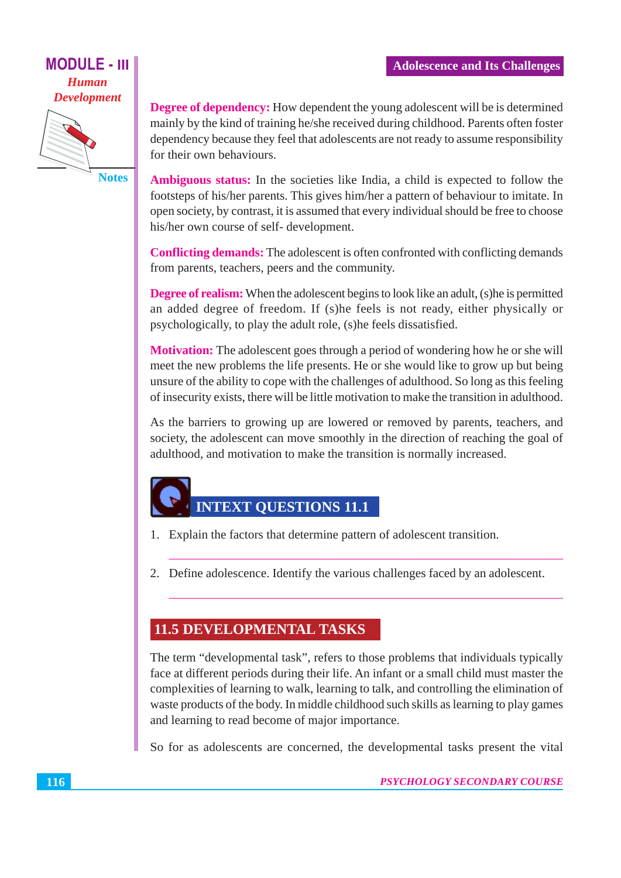### **MODULE - III Human Development**



**Notes** 

**Degree of dependency:** How dependent the young adolescent will be is determined mainly by the kind of training he/she received during childhood. Parents often foster dependency because they feel that adolescents are not ready to assume responsibility for their own behaviours.

**Ambiguous status:** In the societies like India, a child is expected to follow the footsteps of his/her parents. This gives him/her a pattern of behaviour to imitate. In open society, by contrast, it is assumed that every individual should be free to choose his/her own course of self-development.

**Conflicting demands:** The adolescent is often confronted with conflicting demands from parents, teachers, peers and the community.

**Degree of realism:** When the adolescent begins to look like an adult. (s) he is permitted an added degree of freedom. If (s) he feels is not ready, either physically or psychologically, to play the adult role, (s) he feels dissatisfied.

**Motivation:** The adolescent goes through a period of wondering how he or she will meet the new problems the life presents. He or she would like to grow up but being unsure of the ability to cope with the challenges of adulthood. So long as this feeling of insecurity exists, there will be little motivation to make the transition in adulthood.

As the barriers to growing up are lowered or removed by parents, teachers, and society, the adolescent can move smoothly in the direction of reaching the goal of adulthood, and motivation to make the transition is normally increased.

# **INTEXT QUESTIONS 11.1**

- 1. Explain the factors that determine pattern of adolescent transition.
- 2. Define adolescence. Identify the various challenges faced by an adolescent.

#### **11.5 DEVELOPMENTAL TASKS**

The term "developmental task", refers to those problems that individuals typically face at different periods during their life. An infant or a small child must master the complexities of learning to walk, learning to talk, and controlling the elimination of waste products of the body. In middle childhood such skills as learning to play games and learning to read become of major importance.

So for as adolescents are concerned, the developmental tasks present the vital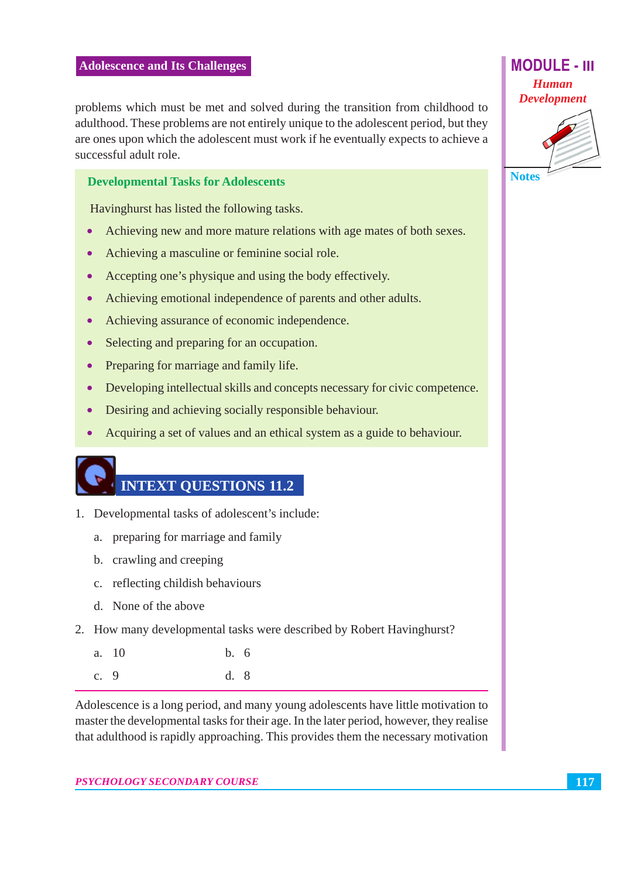problems which must be met and solved during the transition from childhood to adulthood. These problems are not entirely unique to the adolescent period, but they are ones upon which the adolescent must work if he eventually expects to achieve a successful adult role.

#### **Developmental Tasks for Adolescents**

Havinghurst has listed the following tasks.

- Achieving new and more mature relations with age mates of both sexes.  $\bullet$
- Achieving a masculine or feminine social role.  $\bullet$
- Accepting one's physique and using the body effectively.  $\bullet$
- Achieving emotional independence of parents and other adults.  $\bullet$
- Achieving assurance of economic independence.  $\bullet$
- Selecting and preparing for an occupation.  $\bullet$
- Preparing for marriage and family life.
- Developing intellectual skills and concepts necessary for civic competence.  $\bullet$
- Desiring and achieving socially responsible behaviour.  $\bullet$
- Acquiring a set of values and an ethical system as a guide to behaviour.

# **INTEXT OUESTIONS 11.2**

- 1. Developmental tasks of adolescent's include:
	- a. preparing for marriage and family
	- b. crawling and creeping
	- c. reflecting childish behaviours
	- d. None of the above
- 2. How many developmental tasks were described by Robert Havinghurst?
	- $a. 10$  $b.6$ c.  $9$  $d.8$

Adolescence is a long period, and many young adolescents have little motivation to master the developmental tasks for their age. In the later period, however, they realise that adulthood is rapidly approaching. This provides them the necessary motivation





**Notes**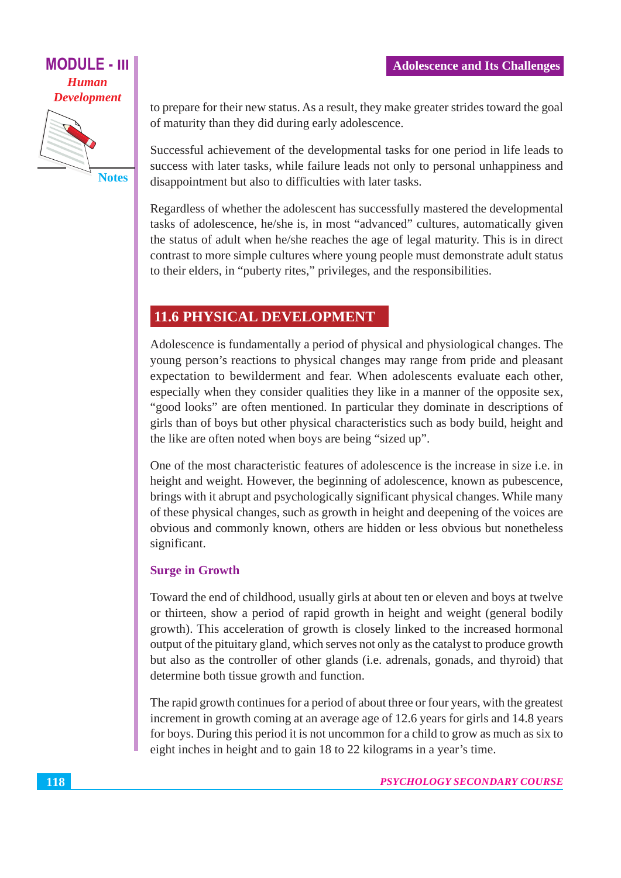## **MODULE - III Human Development**

**Notes** 

to prepare for their new status. As a result, they make greater strides toward the goal of maturity than they did during early adolescence.

Successful achievement of the developmental tasks for one period in life leads to success with later tasks, while failure leads not only to personal unhappiness and disappointment but also to difficulties with later tasks.

Regardless of whether the adolescent has successfully mastered the developmental tasks of adolescence, he/she is, in most "advanced" cultures, automatically given the status of adult when he/she reaches the age of legal maturity. This is in direct contrast to more simple cultures where young people must demonstrate adult status to their elders, in "puberty rites," privileges, and the responsibilities.

# **11.6 PHYSICAL DEVELOPMENT**

Adolescence is fundamentally a period of physical and physiological changes. The young person's reactions to physical changes may range from pride and pleasant expectation to bewilderment and fear. When adolescents evaluate each other, especially when they consider qualities they like in a manner of the opposite sex, "good looks" are often mentioned. In particular they dominate in descriptions of girls than of boys but other physical characteristics such as body build, height and the like are often noted when boys are being "sized up".

One of the most characteristic features of adolescence is the increase in size *i.e.* in height and weight. However, the beginning of adolescence, known as pubescence, brings with it abrupt and psychologically significant physical changes. While many of these physical changes, such as growth in height and deepening of the voices are obvious and commonly known, others are hidden or less obvious but nonetheless significant.

## **Surge in Growth**

Toward the end of childhood, usually girls at about ten or eleven and boys at twelve or thirteen, show a period of rapid growth in height and weight (general bodily growth). This acceleration of growth is closely linked to the increased hormonal output of the pituitary gland, which serves not only as the catalyst to produce growth but also as the controller of other glands (i.e. adrenals, gonads, and thyroid) that determine both tissue growth and function.

The rapid growth continues for a period of about three or four years, with the greatest increment in growth coming at an average age of 12.6 years for girls and 14.8 years for boys. During this period it is not uncommon for a child to grow as much as six to eight inches in height and to gain 18 to 22 kilograms in a year's time.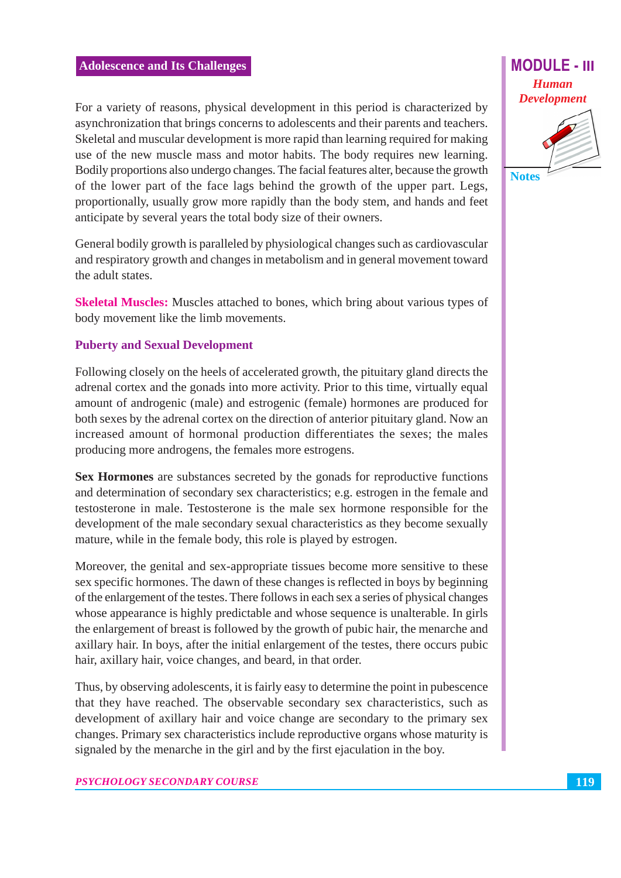For a variety of reasons, physical development in this period is characterized by asynchronization that brings concerns to adolescents and their parents and teachers. Skeletal and muscular development is more rapid than learning required for making use of the new muscle mass and motor habits. The body requires new learning. Bodily proportions also undergo changes. The facial features alter, because the growth of the lower part of the face lags behind the growth of the upper part. Legs, proportionally, usually grow more rapidly than the body stem, and hands and feet anticipate by several years the total body size of their owners.

General bodily growth is paralleled by physiological changes such as cardiovascular and respiratory growth and changes in metabolism and in general movement toward the adult states.

**Skeletal Muscles:** Muscles attached to bones, which bring about various types of body movement like the limb movements.

#### **Puberty and Sexual Development**

Following closely on the heels of accelerated growth, the pituitary gland directs the adrenal cortex and the gonads into more activity. Prior to this time, virtually equal amount of androgenic (male) and estrogenic (female) hormones are produced for both sexes by the adrenal cortex on the direction of anterior pituitary gland. Now an increased amount of hormonal production differentiates the sexes; the males producing more androgens, the females more estrogens.

Sex Hormones are substances secreted by the gonads for reproductive functions and determination of secondary sex characteristics; e.g. estrogen in the female and testosterone in male. Testosterone is the male sex hormone responsible for the development of the male secondary sexual characteristics as they become sexually mature, while in the female body, this role is played by estrogen.

Moreover, the genital and sex-appropriate tissues become more sensitive to these sex specific hormones. The dawn of these changes is reflected in boys by beginning of the enlargement of the testes. There follows in each sex a series of physical changes whose appearance is highly predictable and whose sequence is unalterable. In girls the enlargement of breast is followed by the growth of pubic hair, the menarche and axillary hair. In boys, after the initial enlargement of the testes, there occurs pubic hair, axillary hair, voice changes, and beard, in that order.

Thus, by observing adolescents, it is fairly easy to determine the point in pubescence that they have reached. The observable secondary sex characteristics, such as development of axillary hair and voice change are secondary to the primary sex changes. Primary sex characteristics include reproductive organs whose maturity is signaled by the menarche in the girl and by the first ejaculation in the boy.



**Notes** 

119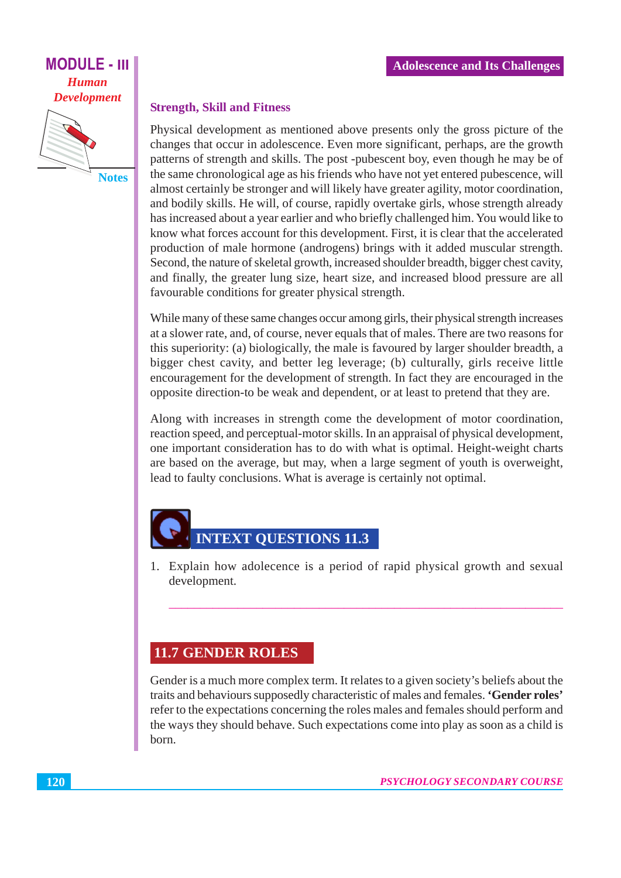## **MODULE - III Human Development**



#### **Strength, Skill and Fitness**

Physical development as mentioned above presents only the gross picture of the changes that occur in adolescence. Even more significant, perhaps, are the growth patterns of strength and skills. The post-pubescent boy, even though he may be of the same chronological age as his friends who have not yet entered pubescence, will almost certainly be stronger and will likely have greater agility, motor coordination, and bodily skills. He will, of course, rapidly overtake girls, whose strength already has increased about a year earlier and who briefly challenged him. You would like to know what forces account for this development. First, it is clear that the accelerated production of male hormone (androgens) brings with it added muscular strength. Second, the nature of skeletal growth, increased shoulder breadth, bigger chest cavity, and finally, the greater lung size, heart size, and increased blood pressure are all favourable conditions for greater physical strength.

While many of these same changes occur among girls, their physical strength increases at a slower rate, and, of course, never equals that of males. There are two reasons for this superiority: (a) biologically, the male is favoured by larger shoulder breadth, a bigger chest cavity, and better leg leverage; (b) culturally, girls receive little encouragement for the development of strength. In fact they are encouraged in the opposite direction-to be weak and dependent, or at least to pretend that they are.

Along with increases in strength come the development of motor coordination, reaction speed, and perceptual-motor skills. In an appraisal of physical development, one important consideration has to do with what is optimal. Height-weight charts are based on the average, but may, when a large segment of youth is overweight. lead to faulty conclusions. What is average is certainly not optimal.

# **INTEXT QUESTIONS 11.3**

1. Explain how adolecence is a period of rapid physical growth and sexual development.

# **11.7 GENDER ROLES**

Gender is a much more complex term. It relates to a given society's beliefs about the traits and behaviours supposedly characteristic of males and females. 'Gender roles' refer to the expectations concerning the roles males and females should perform and the ways they should behave. Such expectations come into play as soon as a child is born.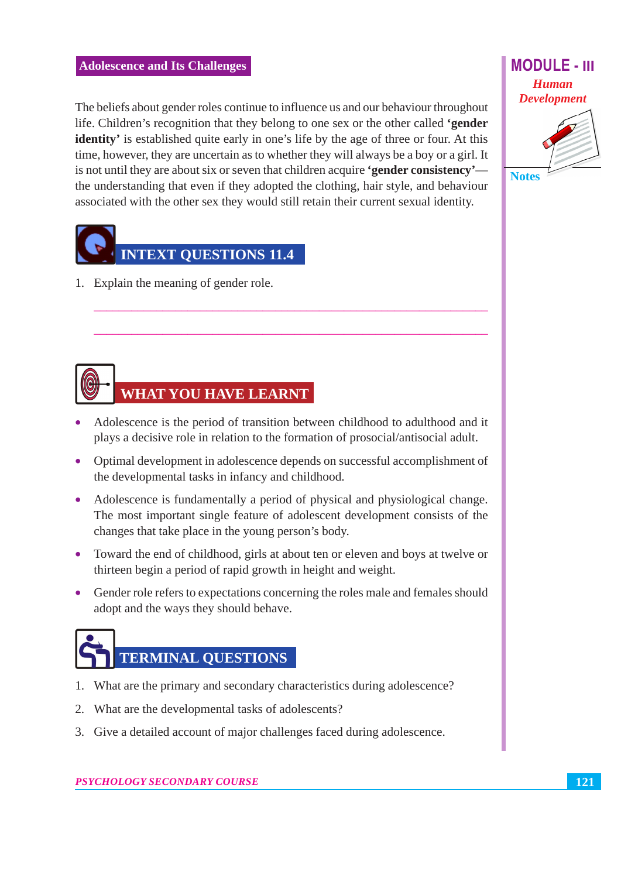The beliefs about gender roles continue to influence us and our behaviour throughout life. Children's recognition that they belong to one sex or the other called 'gender **identity'** is established quite early in one's life by the age of three or four. At this time, however, they are uncertain as to whether they will always be a boy or a girl. It is not until they are about six or seven that children acquire **'gender consistency'** the understanding that even if they adopted the clothing, hair style, and behaviour associated with the other sex they would still retain their current sexual identity.



1. Explain the meaning of gender role.

# **WHAT YOU HAVE LEARNT**

- Adolescence is the period of transition between childhood to adulthood and it plays a decisive role in relation to the formation of prosocial/antisocial adult.
- Optimal development in adolescence depends on successful accomplishment of the developmental tasks in infancy and childhood.
- Adolescence is fundamentally a period of physical and physiological change. The most important single feature of adolescent development consists of the changes that take place in the young person's body.
- Toward the end of childhood, girls at about ten or eleven and boys at twelve or thirteen begin a period of rapid growth in height and weight.
- Gender role refers to expectations concerning the roles male and females should adopt and the ways they should behave.



- 1. What are the primary and secondary characteristics during adolescence?
- 2. What are the developmental tasks of adolescents?
- 3. Give a detailed account of major challenges faced during adolescence.

# **MODULE - III Human Development**